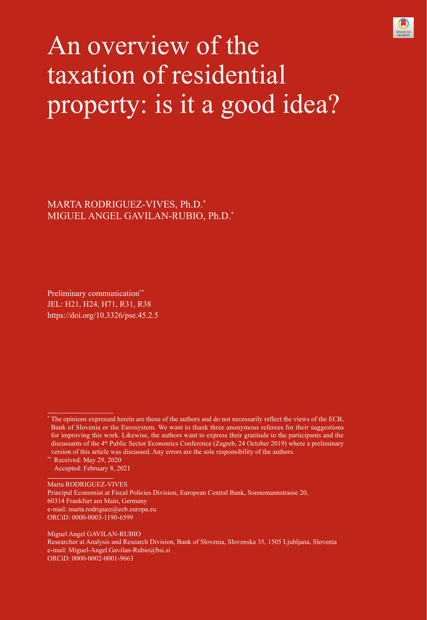

# An overview of the taxation of residential property: is it a good idea?

MARTA RODRIGUEZ-VIVES, Ph.D.\* MIGUEL ANGEL GAVILAN-RUBIO, Ph.D.\*

Preliminary communication\*\* JEL: H21, H24, H71, R31, R38 https://doi.org/10.3326/pse.45.2.5

\*\* Received: May 29, 2020 Accepted: February 8, 2021

Marta RODRIGUEZ-VIVES Principal Economist at Fiscal Policies Division, European Central Bank, Sonnemannstrasse 20, 60314 Frankfurt am Main, Germany e-mail: marta.rodriguez@ecb.europa.eu ORCiD: [0000-0003-1190-6599](https://orcid.org/0000-0003-1190-6599)

Miguel Angel GAVILAN-RUBIO Researcher at Analysis and Research Division, Bank of Slovenia, Slovenska 35, 1505 Ljubljana, Slovenia e-mail: Miguel-Angel.Gavilan-Rubio@bsi.si ORCiD: [0000-0002-0001-9663](https://orcid.org/0000-0002-0001-9663)

<sup>\*</sup> The opinions expressed herein are those of the authors and do not necessarily reflect the views of the ECB, Bank of Slovenia or the Eurosystem. We want to thank three anonymous referees for their suggestions for improving this work. Likewise, the authors want to express their gratitude to the participants and the discussants of the 4<sup>th</sup> Public Sector Economics Conference (Zagreb, 24 October 2019) where a preliminary version of this article was discussed. Any errors are the sole responsibility of the authors.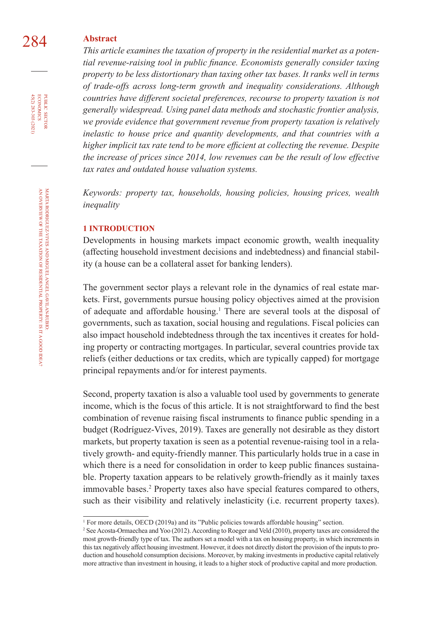## 284 **Abstract**

*This article examines the taxation of property in the residential market as a potential revenue-raising tool in public finance. Economists generally consider taxing property to be less distortionary than taxing other tax bases. It ranks well in terms of trade-offs across long-term growth and inequality considerations. Although countries have different societal preferences, recourse to property taxation is not generally widespread. Using panel data methods and stochastic frontier analysis, we provide evidence that government revenue from property taxation is relatively inelastic to house price and quantity developments, and that countries with a higher implicit tax rate tend to be more efficient at collecting the revenue. Despite the increase of prices since 2014, low revenues can be the result of low effective tax rates and outdated house valuation systems.*

*Keywords: property tax, households, housing policies, housing prices, wealth inequality*

#### **1 INTRODUCTION**

Developments in housing markets impact economic growth, wealth inequality (affecting household investment decisions and indebtedness) and financial stability (a house can be a collateral asset for banking lenders).

The government sector plays a relevant role in the dynamics of real estate markets. First, governments pursue housing policy objectives aimed at the provision of adequate and affordable housing.<sup>1</sup> There are several tools at the disposal of governments, such as taxation, social housing and regulations. Fiscal policies can also impact household indebtedness through the tax incentives it creates for holding property or contracting mortgages. In particular, several countries provide tax reliefs (either deductions or tax credits, which are typically capped) for mortgage principal repayments and/or for interest payments.

Second, property taxation is also a valuable tool used by governments to generate income, which is the focus of this article. It is not straightforward to find the best combination of revenue raising fiscal instruments to finance public spending in a budget (Rodríguez-Vives, 2019). Taxes are generally not desirable as they distort markets, but property taxation is seen as a potential revenue-raising tool in a relatively growth- and equity-friendly manner. This particularly holds true in a case in which there is a need for consolidation in order to keep public finances sustainable. Property taxation appears to be relatively growth-friendly as it mainly taxes immovable bases.<sup>2</sup> Property taxes also have special features compared to others, such as their visibility and relatively inelasticity (i.e. recurrent property taxes).

45(2) 283-303 (2021) economics

<sup>1</sup> For more details, OECD (2019a) and its "Public policies towards affordable housing" section.

<sup>2</sup> See Acosta-Ormaechea and Yoo (2012). According to Roeger and Veld (2010), property taxes are considered the most growth-friendly type of tax. The authors set a model with a tax on housing property, in which increments in this tax negatively affect housing investment. However, it does not directly distort the provision of the inputs to production and household consumption decisions. Moreover, by making investments in productive capital relatively more attractive than investment in housing, it leads to a higher stock of productive capital and more production.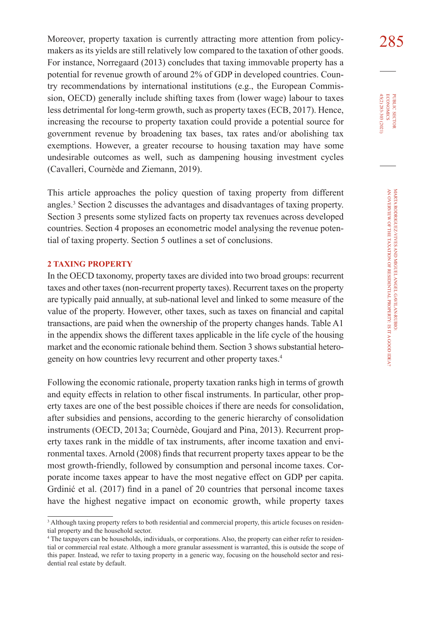Moreover, property taxation is currently attracting more attention from policy- $285$ makers as its yields are still relatively low compared to the taxation of other goods. For instance, Norregaard (2013) concludes that taxing immovable property has a potential for revenue growth of around 2% of GDP in developed countries. Country recommendations by international institutions (e.g., the European Commission, OECD) generally include shifting taxes from (lower wage) labour to taxes less detrimental for long-term growth, such as property taxes (ECB, 2017). Hence, increasing the recourse to property taxation could provide a potential source for government revenue by broadening tax bases, tax rates and/or abolishing tax exemptions. However, a greater recourse to housing taxation may have some undesirable outcomes as well, such as dampening housing investment cycles (Cavalleri, Cournède and Ziemann, 2019).

This article approaches the policy question of taxing property from different angles.<sup>3</sup> Section 2 discusses the advantages and disadvantages of taxing property. Section 3 presents some stylized facts on property tax revenues across developed countries. Section 4 proposes an econometric model analysing the revenue potential of taxing property. Section 5 outlines a set of conclusions.

### **2 TAXING PROPERTY**

In the OECD taxonomy, property taxes are divided into two broad groups: recurrent taxes and other taxes (non-recurrent property taxes). Recurrent taxes on the property are typically paid annually, at sub-national level and linked to some measure of the value of the property. However, other taxes, such as taxes on financial and capital transactions, are paid when the ownership of the property changes hands. Table A1 in the appendix shows the different taxes applicable in the life cycle of the housing market and the economic rationale behind them. Section 3 shows substantial heterogeneity on how countries levy recurrent and other property taxes.4

Following the economic rationale, property taxation ranks high in terms of growth and equity effects in relation to other fiscal instruments. In particular, other property taxes are one of the best possible choices if there are needs for consolidation, after subsidies and pensions, according to the generic hierarchy of consolidation instruments (OECD, 2013a; Cournède, Goujard and Pina, 2013). Recurrent property taxes rank in the middle of tax instruments, after income taxation and environmental taxes. Arnold (2008) finds that recurrent property taxes appear to be the most growth-friendly, followed by consumption and personal income taxes. Corporate income taxes appear to have the most negative effect on GDP per capita. Grdinić et al. (2017) find in a panel of 20 countries that personal income taxes have the highest negative impact on economic growth, while property taxes

<sup>&</sup>lt;sup>3</sup> Although taxing property refers to both residential and commercial property, this article focuses on residential property and the household sector.

<sup>4</sup> The taxpayers can be households, individuals, or corporations. Also, the property can either refer to residential or commercial real estate. Although a more granular assessment is warranted, this is outside the scope of this paper. Instead, we refer to taxing property in a generic way, focusing on the household sector and residential real estate by default.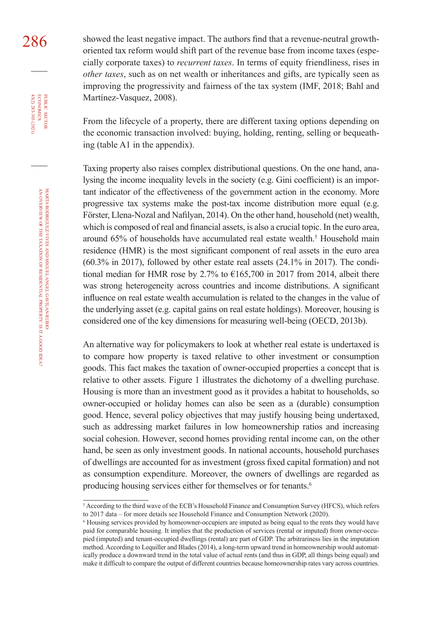286 showed the least negative impact. The authors find that a revenue-neutral growthoriented tax reform would shift part of the revenue base from income taxes (especially corporate taxes) to *recurrent taxes*. In terms of equity friendliness, rises in *other taxes*, such as on net wealth or inheritances and gifts, are typically seen as improving the progressivity and fairness of the tax system (IMF, 2018; Bahl and Martínez-Vasquez, 2008).

> From the lifecycle of a property, there are different taxing options depending on the economic transaction involved: buying, holding, renting, selling or bequeathing (table A1 in the appendix).

> Taxing property also raises complex distributional questions. On the one hand, analysing the income inequality levels in the society (e.g. Gini coefficient) is an important indicator of the effectiveness of the government action in the economy. More progressive tax systems make the post-tax income distribution more equal (e.g. Förster, Llena-Nozal and Nafilyan, 2014). On the other hand, household (net) wealth, which is composed of real and financial assets, is also a crucial topic. In the euro area, around 65% of households have accumulated real estate wealth.<sup>5</sup> Household main residence (HMR) is the most significant component of real assets in the euro area (60.3% in 2017), followed by other estate real assets (24.1% in 2017). The conditional median for HMR rose by 2.7% to  $\epsilon$ 165,700 in 2017 from 2014, albeit there was strong heterogeneity across countries and income distributions. A significant influence on real estate wealth accumulation is related to the changes in the value of the underlying asset (e.g. capital gains on real estate holdings). Moreover, housing is considered one of the key dimensions for measuring well-being (OECD, 2013b).

> An alternative way for policymakers to look at whether real estate is undertaxed is to compare how property is taxed relative to other investment or consumption goods. This fact makes the taxation of owner-occupied properties a concept that is relative to other assets. Figure 1 illustrates the dichotomy of a dwelling purchase. Housing is more than an investment good as it provides a habitat to households, so owner-occupied or holiday homes can also be seen as a (durable) consumption good. Hence, several policy objectives that may justify housing being undertaxed, such as addressing market failures in low homeownership ratios and increasing social cohesion. However, second homes providing rental income can, on the other hand, be seen as only investment goods. In national accounts, household purchases of dwellings are accounted for as investment (gross fixed capital formation) and not as consumption expenditure. Moreover, the owners of dwellings are regarded as producing housing services either for themselves or for tenants. 6

45(2) 283-303 (2021) economics

<sup>5</sup> According to the third wave of the ECB's Household Finance and Consumption Survey (HFCS), which refers to 2017 data – for more details see Household Finance and Consumption Network (2020).

<sup>6</sup> Housing services provided by homeowner-occupiers are imputed as being equal to the rents they would have paid for comparable housing. It implies that the production of services (rental or imputed) from owner-occupied (imputed) and tenant-occupied dwellings (rental) are part of GDP. The arbitrariness lies in the imputation method. According to Lequiller and Blades (2014), a long-term upward trend in homeownership would automatically produce a downward trend in the total value of actual rents (and thus in GDP, all things being equal) and make it difficult to compare the output of different countries because homeownership rates vary across countries.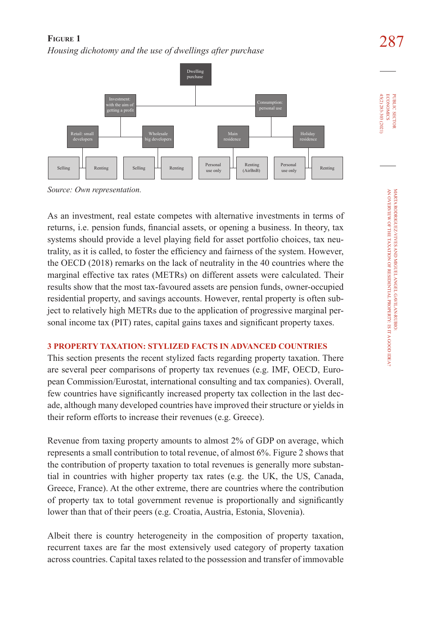# 287 **Figure 1**  *Housing dichotomy and the use of dwellings after purchase*



*Source: Own representation.*

As an investment, real estate competes with alternative investments in terms of returns, i.e. pension funds, financial assets, or opening a business. In theory, tax systems should provide a level playing field for asset portfolio choices, tax neutrality, as it is called, to foster the efficiency and fairness of the system. However, the OECD (2018) remarks on the lack of neutrality in the 40 countries where the marginal effective tax rates (METRs) on different assets were calculated. Their results show that the most tax-favoured assets are pension funds, owner-occupied residential property, and savings accounts. However, rental property is often subject to relatively high METRs due to the application of progressive marginal personal income tax (PIT) rates, capital gains taxes and significant property taxes.

## **3 PROPERTY TAXATION: STYLIZED FACTS IN ADVANCED COUNTRIES**

This section presents the recent stylized facts regarding property taxation. There are several peer comparisons of property tax revenues (e.g. IMF, OECD, European Commission/Eurostat, international consulting and tax companies). Overall, few countries have significantly increased property tax collection in the last decade, although many developed countries have improved their structure or yields in their reform efforts to increase their revenues (e.g. Greece).

Revenue from taxing property amounts to almost 2% of GDP on average, which represents a small contribution to total revenue, of almost 6%. Figure 2 shows that the contribution of property taxation to total revenues is generally more substantial in countries with higher property tax rates (e.g. the UK, the US, Canada, Greece, France). At the other extreme, there are countries where the contribution of property tax to total government revenue is proportionally and significantly lower than that of their peers (e.g. Croatia, Austria, Estonia, Slovenia).

Albeit there is country heterogeneity in the composition of property taxation, recurrent taxes are far the most extensively used category of property taxation across countries. Capital taxes related to the possession and transfer of immovable 45(2) 283-303 (2021) economics

45(2) 283-303 (2021) **ECONOMICS** PUBLIC SECTOR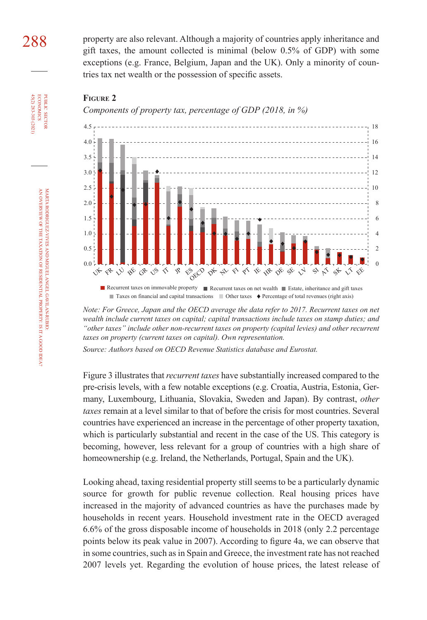288 property are also relevant. Although a majority of countries apply inheritance and gift taxes, the amount collected is minimal (below 0.5% of GDP) with some exceptions (e.g. France, Belgium, Japan and the UK). Only a minority of countries tax net wealth or the possession of specific assets.



*Components of property tax, percentage of GDP (2018, in %)*



Recurrent taxes on immovable property Recurrent taxes on net wealth Recurrent taxes inheritance and gift taxes ■ Taxes on financial and capital transactions ■ Other taxes ◆ Percentage of total revenues (right axis)

*Note: For Greece, Japan and the OECD average the data refer to 2017. Recurrent taxes on net wealth include current taxes on capital; capital transactions include taxes on stamp duties; and "other taxes" include other non-recurrent taxes on property (capital levies) and other recurrent taxes on property (current taxes on capital). Own representation.*

*Source: Authors based on OECD Revenue Statistics database and Eurostat.*

Figure 3 illustrates that *recurrent taxes* have substantially increased compared to the pre-crisis levels, with a few notable exceptions (e.g. Croatia, Austria, Estonia, Germany, Luxembourg, Lithuania, Slovakia, Sweden and Japan). By contrast, *other taxes* remain at a level similar to that of before the crisis for most countries. Several countries have experienced an increase in the percentage of other property taxation, which is particularly substantial and recent in the case of the US. This category is becoming, however, less relevant for a group of countries with a high share of homeownership (e.g. Ireland, the Netherlands, Portugal, Spain and the UK).

Looking ahead, taxing residential property still seems to be a particularly dynamic source for growth for public revenue collection. Real housing prices have increased in the majority of advanced countries as have the purchases made by households in recent years. Household investment rate in the OECD averaged 6.6% of the gross disposable income of households in 2018 (only 2.2 percentage points below its peak value in 2007). According to figure 4a, we can observe that in some countries, such as in Spain and Greece, the investment rate has not reached 2007 levels yet. Regarding the evolution of house prices, the latest release of

45(2) 283-303 (2021) economics

**ECONOMICS** 45(2) 283-303 (2021) PUBLIC SECTOR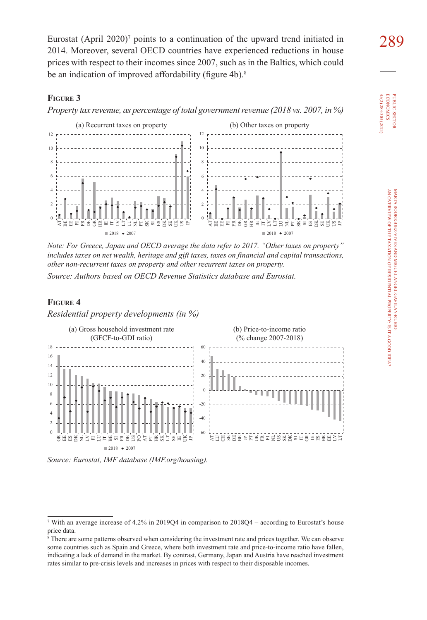Eurostat (April 2020)<sup>7</sup> points to a continuation of the upward trend initiated in  $289$ <br>2014. Moreover, several OECD countries have experienced reductions in house 2014. Moreover, several OECD countries have experienced reductions in house prices with respect to their incomes since 2007, such as in the Baltics, which could be an indication of improved affordability (figure 4b).<sup>8</sup>

#### **Figure 3**

*Property tax revenue, as percentage of total government revenue (2018 vs. 2007, in %)*



*Note: For Greece, Japan and OECD average the data refer to 2017. "Other taxes on property" includes taxes on net wealth, heritage and gift taxes, taxes on financial and capital transactions, other non-recurrent taxes on property and other recurrent taxes on property.*

*Source: Authors based on OECD Revenue Statistics database and Eurostat.*

#### **Figure 4**

*Residential property developments (in %)*





<sup>7</sup> With an average increase of 4.2% in 2019Q4 in comparison to 2018Q4 – according to Eurostat's house price data.

<sup>8</sup> There are some patterns observed when considering the investment rate and prices together. We can observe some countries such as Spain and Greece, where both investment rate and price-to-income ratio have fallen, indicating a lack of demand in the market. By contrast, Germany, Japan and Austria have reached investment rates similar to pre-crisis levels and increases in prices with respect to their disposable incomes.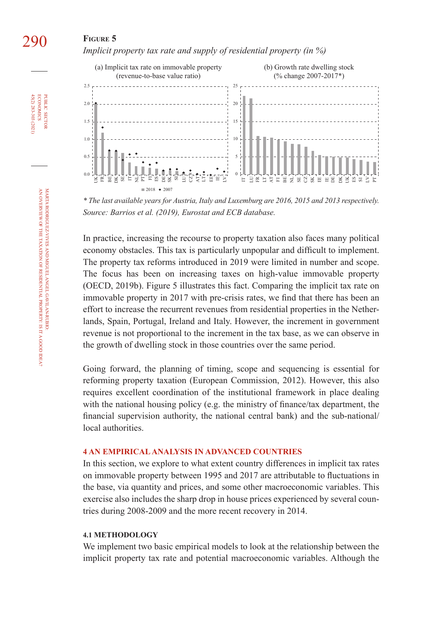## 290 **Figure 5**

*Implicit property tax rate and supply of residential property (in %)*



*\* The last available years for Austria, Italy and Luxemburg are 2016, 2015 and 2013 respectively. Source: Barrios et al. (2019), Eurostat and ECB database.*

In practice, increasing the recourse to property taxation also faces many political economy obstacles. This tax is particularly unpopular and difficult to implement. The property tax reforms introduced in 2019 were limited in number and scope. The focus has been on increasing taxes on high-value immovable property (OECD, 2019b). Figure 5 illustrates this fact. Comparing the implicit tax rate on immovable property in 2017 with pre-crisis rates, we find that there has been an effort to increase the recurrent revenues from residential properties in the Netherlands, Spain, Portugal, Ireland and Italy. However, the increment in government revenue is not proportional to the increment in the tax base, as we can observe in the growth of dwelling stock in those countries over the same period.

Going forward, the planning of timing, scope and sequencing is essential for reforming property taxation (European Commission, 2012). However, this also requires excellent coordination of the institutional framework in place dealing with the national housing policy (e.g. the ministry of finance/tax department, the financial supervision authority, the national central bank) and the sub-national/ local authorities.

#### **4 AN EMPIRICAL ANALYSIS IN ADVANCED COUNTRIES**

In this section, we explore to what extent country differences in implicit tax rates on immovable property between 1995 and 2017 are attributable to fluctuations in the base, via quantity and prices, and some other macroeconomic variables. This exercise also includes the sharp drop in house prices experienced by several countries during 2008-2009 and the more recent recovery in 2014.

#### **4.1 METHODOLOGY**

We implement two basic empirical models to look at the relationship between the implicit property tax rate and potential macroeconomic variables. Although the

45(2) 283-303 (2021) economics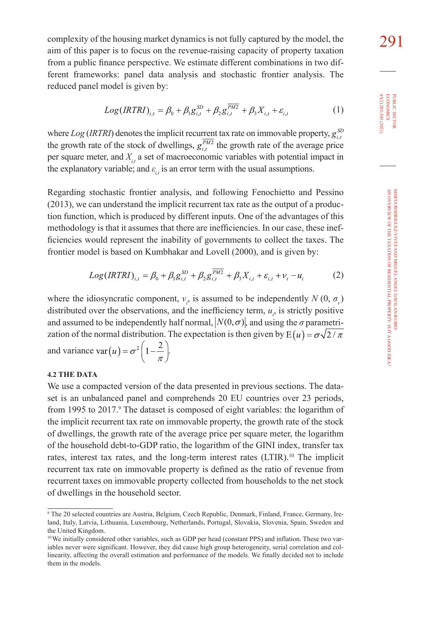complexity of the housing market dynamics is not fully captured by the model, the  $291$ aim of this paper is to focus on the revenue-raising capacity of property taxation from a public finance perspective. We estimate different combinations in two different frameworks: panel data analysis and stochastic frontier analysis. The reduced panel model is given by:

$$
Log(IRTRI)_{i,t} = \beta_0 + \beta_1 g_{i,t}^{SD} + \beta_2 g_{i,t}^{FM2} + \beta_3 X_{i,t} + \varepsilon_{i,t}
$$
 (1)

where  $Log (IRTRI)$  denotes the implicit recurrent tax rate on immovable property,  $g_{ij}^{SD}$ the growth rate of the stock of dwellings,  $g_{i,t}^{\overline{PM2}}$  the growth rate of the average price per square meter, and  $X_i$ , a set of macroeconomic variables with potential impact in the explanatory variable; and  $\varepsilon_i$  is an error term with the usual assumptions.

Regarding stochastic frontier analysis, and following Fenochietto and Pessino (2013), we can understand the implicit recurrent tax rate as the output of a production function, which is produced by different inputs. One of the advantages of this methodology is that it assumes that there are inefficiencies. In our case, these inefficiencies would represent the inability of governments to collect the taxes. The frontier model is based on Kumbhakar and Lovell (2000), and is given by:

$$
Log(IRTRI)_{i,t} = \beta_0 + \beta_1 g_{i,t}^{SD} + \beta_2 g_{i,t}^{\overline{PM2}} + \beta_3 X_{i,t} + \varepsilon_{i,t} + v_i - u_i
$$
 (2)

where the idiosyncratic component,  $v_i$ , is assumed to be independently  $N(0, \sigma_v)$ distributed over the observations, and the inefficiency term,  $u_i$ , is strictly positive and assumed to be independently half normal,  $|N(0, \sigma)|$ , and using the  $\sigma$  parametrization of the normal distribution. The expectation is then given by  $E(u) = \sigma \sqrt{2/\pi}$ and variance  $var(u) = \sigma^2 \left( 1 - \frac{2}{\pi} \right)$ .

#### **4.2 THE DATA**

We use a compacted version of the data presented in previous sections. The dataset is an unbalanced panel and comprehends 20 EU countries over 23 periods, from 1995 to 2017.<sup>9</sup> The dataset is composed of eight variables: the logarithm of the implicit recurrent tax rate on immovable property, the growth rate of the stock of dwellings, the growth rate of the average price per square meter, the logarithm of the household debt-to-GDP ratio, the logarithm of the GINI index, transfer tax rates, interest tax rates, and the long-term interest rates (LTIR).<sup>10</sup> The implicit recurrent tax rate on immovable property is defined as the ratio of revenue from recurrent taxes on immovable property collected from households to the net stock of dwellings in the household sector.

45(2) 283-303 (2021) **ECONOMICS** 45(2) 283-303 (2021) economics PUBLIC SECTOR

<sup>9</sup> The 20 selected countries are Austria, Belgium, Czech Republic, Denmark, Finland, France, Germany, Ireland, Italy, Latvia, Lithuania, Luxembourg, Netherlands, Portugal, Slovakia, Slovenia, Spain, Sweden and the United Kingdom.

<sup>10</sup> We initially considered other variables, such as GDP per head (constant PPS) and inflation. These two variables never were significant. However, they did cause high group heterogeneity, serial correlation and collinearity, affecting the overall estimation and performance of the models. We finally decided not to include them in the models.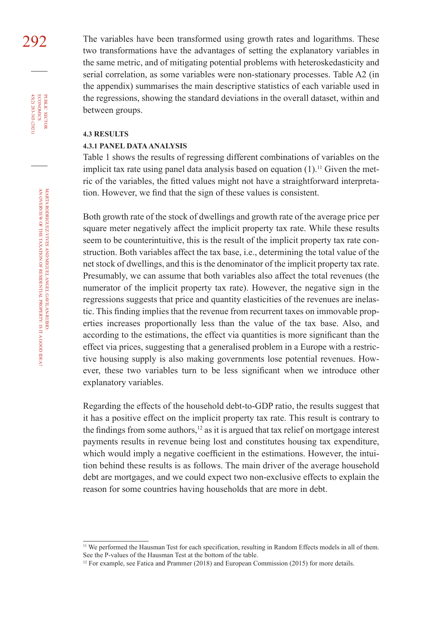292 The variables have been transformed using growth rates and logarithms. These two transformations have the advantages of setting the explanatory variables in the same metric, and of mitigating potential problems with heteroskedasticity and serial correlation, as some variables were non-stationary processes. Table A2 (in the appendix) summarises the main descriptive statistics of each variable used in the regressions, showing the standard deviations in the overall dataset, within and between groups.

#### **4.3 RESULTS**

#### **4.3.1 PANEL DATA ANALYSIS**

Table 1 shows the results of regressing different combinations of variables on the implicit tax rate using panel data analysis based on equation  $(1)$ .<sup>11</sup> Given the metric of the variables, the fitted values might not have a straightforward interpretation. However, we find that the sign of these values is consistent.

Both growth rate of the stock of dwellings and growth rate of the average price per square meter negatively affect the implicit property tax rate. While these results seem to be counterintuitive, this is the result of the implicit property tax rate construction. Both variables affect the tax base, i.e., determining the total value of the net stock of dwellings, and this is the denominator of the implicit property tax rate. Presumably, we can assume that both variables also affect the total revenues (the numerator of the implicit property tax rate). However, the negative sign in the regressions suggests that price and quantity elasticities of the revenues are inelastic. This finding implies that the revenue from recurrent taxes on immovable properties increases proportionally less than the value of the tax base. Also, and according to the estimations, the effect via quantities is more significant than the effect via prices, suggesting that a generalised problem in a Europe with a restrictive housing supply is also making governments lose potential revenues. However, these two variables turn to be less significant when we introduce other explanatory variables.

Regarding the effects of the household debt-to-GDP ratio, the results suggest that it has a positive effect on the implicit property tax rate. This result is contrary to the findings from some authors, $12$  as it is argued that tax relief on mortgage interest payments results in revenue being lost and constitutes housing tax expenditure, which would imply a negative coefficient in the estimations. However, the intuition behind these results is as follows. The main driver of the average household debt are mortgages, and we could expect two non-exclusive effects to explain the reason for some countries having households that are more in debt.

45(2) 283-303 (2021) economics

<sup>&</sup>lt;sup>11</sup> We performed the Hausman Test for each specification, resulting in Random Effects models in all of them. See the P-values of the Hausman Test at the bottom of the table.

<sup>&</sup>lt;sup>12</sup> For example, see Fatica and Prammer (2018) and European Commission (2015) for more details.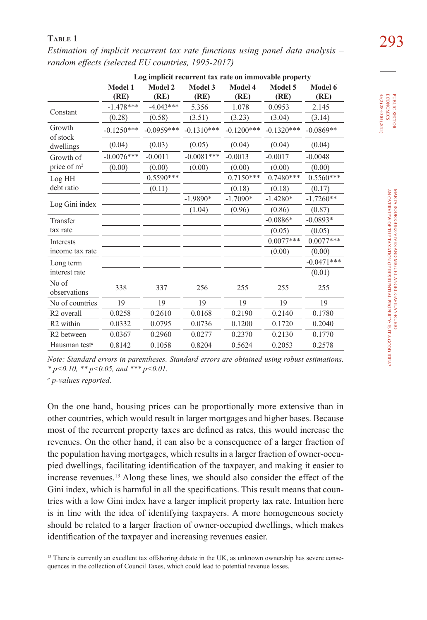|                           | Log implicit recurrent tax rate on immovable property |                 |                 |                 |                 |                 |
|---------------------------|-------------------------------------------------------|-----------------|-----------------|-----------------|-----------------|-----------------|
|                           | Model 1<br>(RE)                                       | Model 2<br>(RE) | Model 3<br>(RE) | Model 4<br>(RE) | Model 5<br>(RE) | Model 6<br>(RE) |
| Constant                  | $-1.478***$                                           | $-4.043***$     | 5.356           | 1.078           | 0.0953          | 2.145           |
|                           | (0.28)                                                | (0.58)          | (3.51)          | (3.23)          | (3.04)          | (3.14)          |
| Growth<br>of stock        | $-0.1250***$                                          | $-0.0959***$    | $-0.1310***$    | $-0.1200***$    | $-0.1320***$    | $-0.0869**$     |
| dwellings                 | (0.04)                                                | (0.03)          | (0.05)          | (0.04)          | (0.04)          | (0.04)          |
| Growth of                 | $-0.0076***$                                          | $-0.0011$       | $-0.0081***$    | $-0.0013$       | $-0.0017$       | $-0.0048$       |
| price of m <sup>2</sup>   | (0.00)                                                | (0.00)          | (0.00)          | (0.00)          | (0.00)          | (0.00)          |
| Log HH                    |                                                       | $0.5590***$     |                 | $0.7150***$     | $0.7480***$     | $0.5560***$     |
| debt ratio                |                                                       | (0.11)          |                 | (0.18)          | (0.18)          | (0.17)          |
|                           |                                                       |                 | $-1.9890*$      | $-1.7090*$      | $-1.4280*$      | $-1.7260**$     |
| Log Gini index            |                                                       |                 | (1.04)          | (0.96)          | (0.86)          | (0.87)          |
| Transfer                  |                                                       |                 |                 |                 | $-0.0886*$      | $-0.0893*$      |
| tax rate                  |                                                       |                 |                 |                 | (0.05)          | (0.05)          |
| <b>Interests</b>          |                                                       |                 |                 |                 | $0.0077***$     | $0.0077***$     |
| income tax rate           |                                                       |                 |                 |                 | (0.00)          | (0.00)          |
| Long term                 |                                                       |                 |                 |                 |                 | $-0.0471***$    |
| interest rate             |                                                       |                 |                 |                 |                 | (0.01)          |
| No of<br>observations     | 338                                                   | 337             | 256             | 255             | 255             | 255             |
| No of countries           | 19                                                    | 19              | 19              | 19              | 19              | 19              |
| R <sub>2</sub> overall    | 0.0258                                                | 0.2610          | 0.0168          | 0.2190          | 0.2140          | 0.1780          |
| R <sub>2</sub> within     | 0.0332                                                | 0.0795          | 0.0736          | 0.1200          | 0.1720          | 0.2040          |
| R <sub>2</sub> between    | 0.0367                                                | 0.2960          | 0.0277          | 0.2370          | 0.2130          | 0.1770          |
| Hausman test <sup>a</sup> | 0.8142                                                | 0.1058          | 0.8204          | 0.5624          | 0.2053          | 0.2578          |

293 **Table 1** *Estimation of implicit recurrent tax rate functions using panel data analysis – random effects (selected EU countries, 1995-2017)*

*a p-values reported.*

On the one hand, housing prices can be proportionally more extensive than in other countries, which would result in larger mortgages and higher bases. Because most of the recurrent property taxes are defined as rates, this would increase the revenues. On the other hand, it can also be a consequence of a larger fraction of the population having mortgages, which results in a larger fraction of owner-occupied dwellings, facilitating identification of the taxpayer, and making it easier to increase revenues.<sup>13</sup> Along these lines, we should also consider the effect of the Gini index, which is harmful in all the specifications. This result means that countries with a low Gini index have a larger implicit property tax rate. Intuition here is in line with the idea of identifying taxpayers. A more homogeneous society should be related to a larger fraction of owner-occupied dwellings, which makes identification of the taxpayer and increasing revenues easier.

45(2) 283-303 (2021) **ECONOMICS** 45(2) 283-303 (2021) economics PUBLIC SECTOR

*Note: Standard errors in parentheses. Standard errors are obtained using robust estimations. \* p<0.10, \*\* p<0.05, and \*\*\* p<0.01.*

<sup>&</sup>lt;sup>13</sup> There is currently an excellent tax offshoring debate in the UK, as unknown ownership has severe consequences in the collection of Council Taxes, which could lead to potential revenue losses.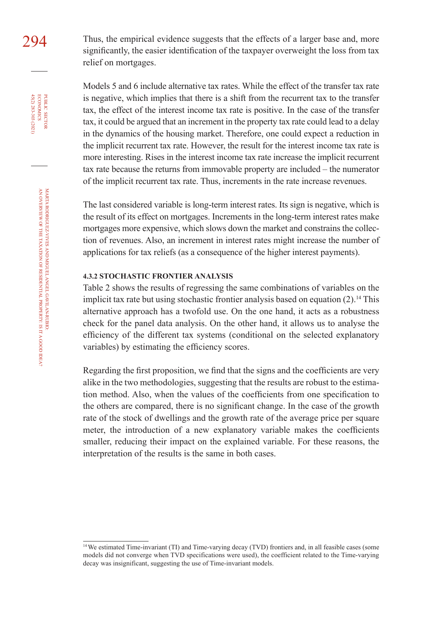294 Thus, the empirical evidence suggests that the effects of a larger base and, more significantly, the easier identification of the taxpayer overweight the loss from tax relief on mortgages.

> Models 5 and 6 include alternative tax rates. While the effect of the transfer tax rate is negative, which implies that there is a shift from the recurrent tax to the transfer tax, the effect of the interest income tax rate is positive. In the case of the transfer tax, it could be argued that an increment in the property tax rate could lead to a delay in the dynamics of the housing market. Therefore, one could expect a reduction in the implicit recurrent tax rate. However, the result for the interest income tax rate is more interesting. Rises in the interest income tax rate increase the implicit recurrent tax rate because the returns from immovable property are included – the numerator of the implicit recurrent tax rate. Thus, increments in the rate increase revenues.

> The last considered variable is long-term interest rates. Its sign is negative, which is the result of its effect on mortgages. Increments in the long-term interest rates make mortgages more expensive, which slows down the market and constrains the collection of revenues. Also, an increment in interest rates might increase the number of applications for tax reliefs (as a consequence of the higher interest payments).

#### **4.3.2 STOCHASTIC FRONTIER ANALYSIS**

Table 2 shows the results of regressing the same combinations of variables on the implicit tax rate but using stochastic frontier analysis based on equation  $(2)$ .<sup>14</sup> This alternative approach has a twofold use. On the one hand, it acts as a robustness check for the panel data analysis. On the other hand, it allows us to analyse the efficiency of the different tax systems (conditional on the selected explanatory variables) by estimating the efficiency scores.

Regarding the first proposition, we find that the signs and the coefficients are very alike in the two methodologies, suggesting that the results are robust to the estimation method. Also, when the values of the coefficients from one specification to the others are compared, there is no significant change. In the case of the growth rate of the stock of dwellings and the growth rate of the average price per square meter, the introduction of a new explanatory variable makes the coefficients smaller, reducing their impact on the explained variable. For these reasons, the interpretation of the results is the same in both cases.

45(2) 283-303 (2021) economics

<sup>14</sup> We estimated Time-invariant (TI) and Time-varying decay (TVD) frontiers and, in all feasible cases (some models did not converge when TVD specifications were used), the coefficient related to the Time-varying decay was insignificant, suggesting the use of Time-invariant models.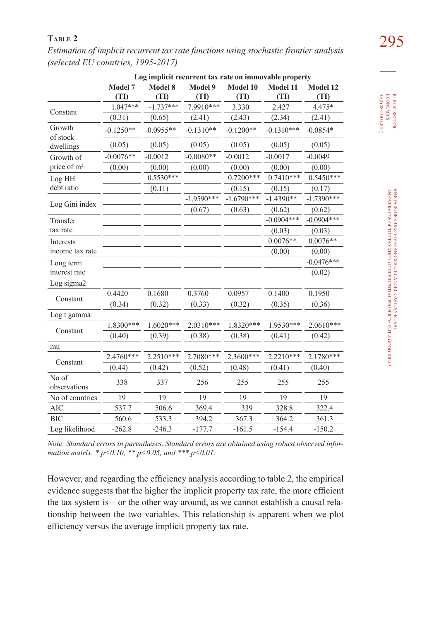295 **Table 2** *Estimation of implicit recurrent tax rate functions using stochastic frontier analysis (selected EU countries, 1995-2017)*

|                         | Log implicit recurrent tax rate on immovable property |             |              |              |              |              |  |
|-------------------------|-------------------------------------------------------|-------------|--------------|--------------|--------------|--------------|--|
|                         | Model 7                                               | Model 8     | Model 9      | Model 10     | Model 11     | Model 12     |  |
|                         | (TI)                                                  | (TI)        | (TI)         | (TI)         | (TI)         | (TI)         |  |
|                         | $1.047***$                                            | $-1.737***$ | 7.9910 ***   | 3.330        | 2.427        | 4.475*       |  |
| Constant                | (0.31)                                                | (0.65)      | (2.41)       | (2.43)       | (2.34)       | (2.41)       |  |
| Growth<br>of stock      | $-0.1250**$                                           | $-0.0955**$ | $-0.1310**$  | $-0.1200**$  | $-0.1310***$ | $-0.0854*$   |  |
| dwellings               | (0.05)                                                | (0.05)      | (0.05)       | (0.05)       | (0.05)       | (0.05)       |  |
| Growth of               | $-0.0076**$                                           | $-0.0012$   | $-0.0080**$  | $-0.0012$    | $-0.0017$    | $-0.0049$    |  |
| price of m <sup>2</sup> | (0.00)                                                | (0.00)      | (0.00)       | (0.00)       | (0.00)       | (0.00)       |  |
| Log HH                  |                                                       | $0.5530***$ |              | $0.7200***$  | $0.7410***$  | $0.5450***$  |  |
| debt ratio              |                                                       | (0.11)      |              | (0.15)       | (0.15)       | (0.17)       |  |
| Log Gini index          |                                                       |             | $-1.9590***$ | $-1.6790***$ | $-1.4390**$  | $-1.7390***$ |  |
|                         |                                                       |             | (0.67)       | (0.63)       | (0.62)       | (0.62)       |  |
| Transfer                |                                                       |             |              |              | $-0.0904***$ | $-0.0904***$ |  |
| tax rate                |                                                       |             |              |              | (0.03)       | (0.03)       |  |
| Interests               |                                                       |             |              |              | $0.0076**$   | $0.0076**$   |  |
| income tax rate         |                                                       |             |              |              | (0.00)       | (0.00)       |  |
| Long term               |                                                       |             |              |              |              | $-0.0476***$ |  |
| interest rate           |                                                       |             |              |              |              | (0.02)       |  |
| Log sigma2              |                                                       |             |              |              |              |              |  |
| Constant                | 0.4420                                                | 0.1680      | 0.3760       | 0.0957       | 0.1400       | 0.1950       |  |
|                         | (0.34)                                                | (0.32)      | (0.33)       | (0.32)       | (0.35)       | (0.36)       |  |
| Log t gamma             |                                                       |             |              |              |              |              |  |
| Constant                | 1.8300***                                             | $1.6020***$ | 2.0310***    | 1.8320***    | 1.9530***    | $2.0610***$  |  |
|                         | (0.40)                                                | (0.39)      | (0.38)       | (0.38)       | (0.41)       | (0.42)       |  |
| mu                      |                                                       |             |              |              |              |              |  |
|                         | 2.4760***                                             | 2.2510***   | 2.7080***    | 2.3600***    | $2.2210***$  | 2.1780***    |  |
| Constant                | (0.44)                                                | (0.42)      | (0.52)       | (0.48)       | (0.41)       | (0.40)       |  |
| No of<br>observations   | 338                                                   | 337         | 256          | 255          | 255          | 255          |  |
| No of countries         | 19                                                    | 19          | 19           | 19           | 19           | 19           |  |
| <b>AIC</b>              | 537.7                                                 | 506.6       | 369.4        | 339          | 328.8        | 322.4        |  |
| <b>BIC</b>              | 560.6                                                 | 533.3       | 394.2        | 367.3        | 364.2        | 361.3        |  |
| Log likelihood          | $-262.8$                                              | $-246.3$    | $-177.7$     | $-161.5$     | $-154.4$     | $-150.2$     |  |

*Note: Standard errors in parentheses. Standard errors are obtained using robust observed information matrix. \* p<0.10, \*\* p<0.05, and \*\*\* p<0.01.*

However, and regarding the efficiency analysis according to table 2, the empirical evidence suggests that the higher the implicit property tax rate, the more efficient the tax system is – or the other way around, as we cannot establish a causal relationship between the two variables. This relationship is apparent when we plot efficiency versus the average implicit property tax rate.

PUBLIC SECTOR<br>ECONOMICS<br>45(2) 283-303 (2021) 45(2) 283-303 (2021) economics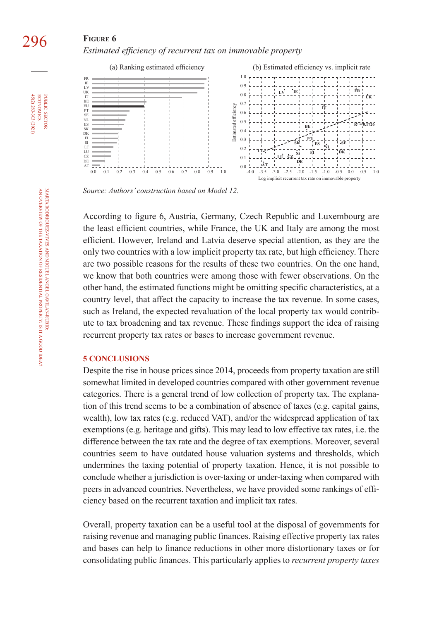### **FIGURE 6** *Estimated efficiency of recurrent tax on immovable property*



*Source: Authors' construction based on Model 12.*

According to figure 6, Austria, Germany, Czech Republic and Luxembourg are the least efficient countries, while France, the UK and Italy are among the most efficient. However, Ireland and Latvia deserve special attention, as they are the only two countries with a low implicit property tax rate, but high efficiency. There are two possible reasons for the results of these two countries. On the one hand, we know that both countries were among those with fewer observations. On the other hand, the estimated functions might be omitting specific characteristics, at a country level, that affect the capacity to increase the tax revenue. In some cases, such as Ireland, the expected revaluation of the local property tax would contribute to tax broadening and tax revenue. These findings support the idea of raising recurrent property tax rates or bases to increase government revenue.

#### **5 CONCLUSIONS**

Despite the rise in house prices since 2014, proceeds from property taxation are still somewhat limited in developed countries compared with other government revenue categories. There is a general trend of low collection of property tax. The explanation of this trend seems to be a combination of absence of taxes (e.g. capital gains, wealth), low tax rates (e.g. reduced VAT), and/or the widespread application of tax exemptions (e.g. heritage and gifts). This may lead to low effective tax rates, i.e. the difference between the tax rate and the degree of tax exemptions. Moreover, several countries seem to have outdated house valuation systems and thresholds, which undermines the taxing potential of property taxation. Hence, it is not possible to conclude whether a jurisdiction is over-taxing or under-taxing when compared with peers in advanced countries. Nevertheless, we have provided some rankings of efficiency based on the recurrent taxation and implicit tax rates.

Overall, property taxation can be a useful tool at the disposal of governments for raising revenue and managing public finances. Raising effective property tax rates and bases can help to finance reductions in other more distortionary taxes or for consolidating public finances. This particularly applies to *recurrent property taxes*

45(2) 283-303 (2021) economics

**ECONOMICS** 45(2) 283-303 (2021) PUBLIC SECTOR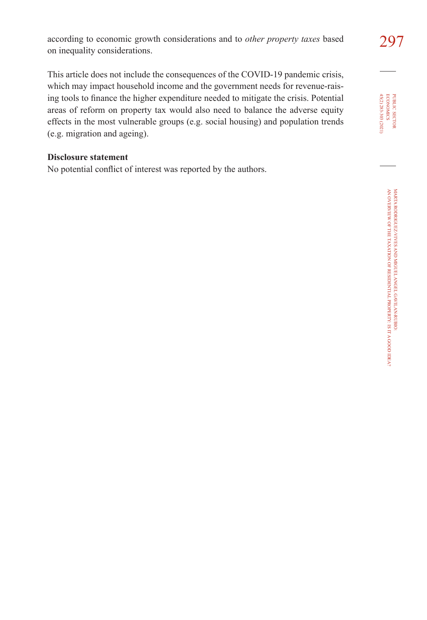297 according to economic growth considerations and to *other property taxes* based on inequality considerations.

This article does not include the consequences of the COVID-19 pandemic crisis, which may impact household income and the government needs for revenue-raising tools to finance the higher expenditure needed to mitigate the crisis. Potential areas of reform on property tax would also need to balance the adverse equity effects in the most vulnerable groups (e.g. social housing) and population trends (e.g. migration and ageing).

### **Disclosure statement**

No potential conflict of interest was reported by the authors.

PUBLIC SECTOR<br>ECONOMICS<br>45(2) 283-303 (2021) 45(2) 283-303 (2021) economics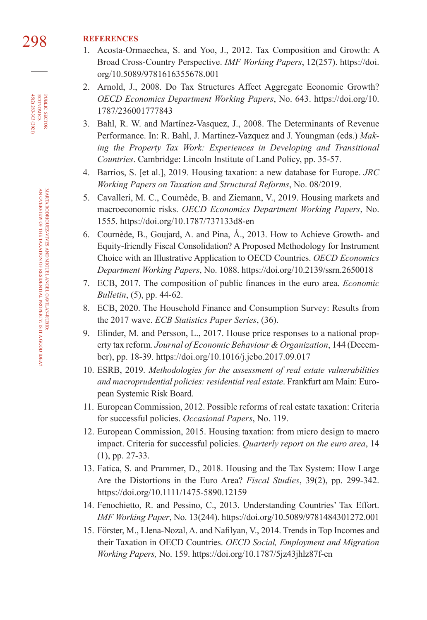# 298 **REFERENCES**

- 1. Acosta-Ormaechea, S. and Yoo, J., 2012. Tax Composition and Growth: A Broad Cross-Country Perspective. *IMF Working Papers*, 12(257). [https://doi.](https://doi.org/10.5089/9781616355678.001) [org/10.5089/9781616355678.001](https://doi.org/10.5089/9781616355678.001)
- 2. Arnold, J., 2008. Do Tax Structures Affect Aggregate Economic Growth? *OECD Economics Department Working Papers*, No. 643. [https://doi.org/10.](https://doi.org/10.1787/236001777843) [1787/236001777843](https://doi.org/10.1787/236001777843)
- 3. Bahl, R. W. and Martínez-Vasquez, J., 2008. The Determinants of Revenue Performance. In: R. Bahl, J. Martinez-Vazquez and J. Youngman (eds.) *Making the Property Tax Work: Experiences in Developing and Transitional Countries*. Cambridge: Lincoln Institute of Land Policy, pp. 35-57.
- 4. Barrios, S. [et al.], 2019. Housing taxation: a new database for Europe. *[JRC](https://ec.europa.eu/jrc/sites/jrcsh/files/jrc118277.pdf)  [Working Papers on Taxation and Structural Reforms](https://ec.europa.eu/jrc/sites/jrcsh/files/jrc118277.pdf)*, No. 08/2019.
- 5. Cavalleri, M. C., Cournède, B. and Ziemann, V., 2019. Housing markets and macroeconomic risks. *OECD Economics Department Working Papers*, No. 1555. <https://doi.org/10.1787/737133d8-en>
- 6. Cournède, B., Goujard, A. and Pina, Á., 2013. How to Achieve Growth- and Equity-friendly Fiscal Consolidation? A Proposed Methodology for Instrument Choice with an Illustrative Application to OECD Countries. *OECD Economics Department Working Papers*, No. 1088. <https://doi.org/10.2139/ssrn.2650018>
- 7. ECB, 2017. The composition of public finances in the euro area. *[Economic](https://www.ecb.europa.eu/pub/economic-bulletin/html/eb201705.en.html#IDofArticle1)  Bulletin*[, \(5\), pp. 44-62.](https://www.ecb.europa.eu/pub/economic-bulletin/html/eb201705.en.html#IDofArticle1)
- 8. ECB, 2020. The Household Finance and Consumption Survey: Results from the 2017 wave. *[ECB Statistics Paper Series](https://www.ecb.europa.eu/pub/pdf/scpsps/ecb.sps36~0245ed80c7.en.pdf)*, (36).
- 9. Elinder, M. and Persson, L., 2017. House price responses to a national property tax reform. *Journal of Economic Behaviour & Organization*, 144 (December), pp. 18-39.<https://doi.org/10.1016/j.jebo.2017.09.017>
- 10. ESRB, 2019. *[Methodologies for the assessment of real estate vulnerabilities](https://www.esrb.europa.eu/pub/pdf/reports/esrb.report190923_methodologies_assessment_vulnerabilities_macroprudential_policies~7826295681.en.pdf?6b81f6b673023f7cdaf011759d9934eb)  [and macroprudential policies: residential real estate](https://www.esrb.europa.eu/pub/pdf/reports/esrb.report190923_methodologies_assessment_vulnerabilities_macroprudential_policies~7826295681.en.pdf?6b81f6b673023f7cdaf011759d9934eb)*. Frankfurt am Main: European Systemic Risk Board.
- 11. European Commission, 2012. Possible reforms of real estate taxation: Criteria for successful policies. *[Occasional Papers](https://ec.europa.eu/economy_finance/publications/occasional_paper/2012/pdf/ocp119_en.pdf)*, No. 119.
- 12. European Commission, 2015. Housing taxation: from micro design to macro impact. Criteria for successful policies. *[Quarterly report on the euro area](https://ec.europa.eu/economy_finance/publications/qr_euro_area/2015/pdf/qrea1_section_3_en.pdf)*, 14 [\(1\), pp. 27-33.](https://ec.europa.eu/economy_finance/publications/qr_euro_area/2015/pdf/qrea1_section_3_en.pdf)
- 13. Fatica, S. and Prammer, D., 2018. Housing and the Tax System: How Large Are the Distortions in the Euro Area? *Fiscal Studies*, 39(2), pp. 299-342. <https://doi.org/10.1111/1475-5890.12159>
- 14. Fenochietto, R. and Pessino, C., 2013. Understanding Countries' Tax Effort. *IMF Working Paper*, No. 13(244).<https://doi.org/10.5089/9781484301272.001>
- 15. Förster, M., Llena-Nozal, A. and Nafilyan, V., 2014. Trends in Top Incomes and their Taxation in OECD Countries. *OECD Social, Employment and Migration Working Papers,* No. 159. <https://doi.org/10.1787/5jz43jhlz87f-en>

45(2) 283-303 (2021) economics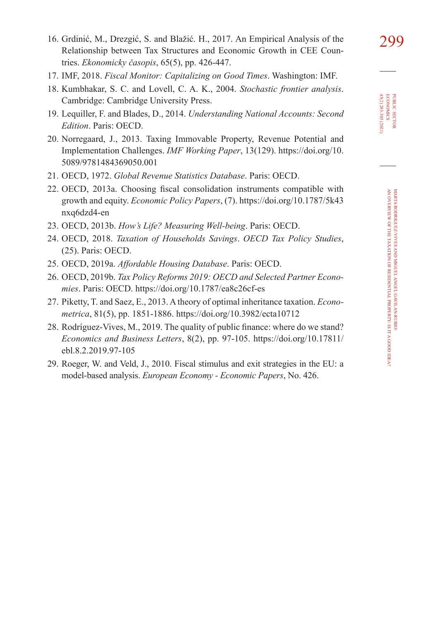- 299 16. Grdinić, M., Drezgić, S. and Blažić. H., 2017. An Empirical Analysis of the Relationship between Tax Structures and Economic Growth in CEE Countries. *[Ekonomicky časopis](https://www.sav.sk/journals/uploads/0615125505%2017%20Grdini%c4%87%20+%20RS.pdf)*, 65(5), pp. 426-447.
- 17. IMF, 2018. *[Fiscal Monitor: Capitalizing on Good Times](https://www.imf.org/en/Publications/FM/Issues/2018/04/06/fiscal-monitor-april-2018)*. Washington: IMF.
- 18. Kumbhakar, S. C. and Lovell, C. A. K., 2004. *Stochastic frontier analysis*. Cambridge: Cambridge University Press.
- 19. Lequiller, F. and Blades, D., 2014. *[Understanding National Accounts: Second](http://www.oecd.org/sdd/UNA-2014.pdf)  [Edition](http://www.oecd.org/sdd/UNA-2014.pdf)*. Paris: OECD.
- 20. Norregaard, J., 2013. Taxing Immovable Property, Revenue Potential and Implementation Challenges. *IMF Working Paper*, 13(129). [https://doi.org/10.](https://doi.org/10.5089/9781484369050.001) [5089/9781484369050.001](https://doi.org/10.5089/9781484369050.001)
- 21. OECD, 1972. *[Global Revenue Statistics Database](https://stats.oecd.org/Index.aspx?DataSetCode=RS_GBL)*. Paris: OECD.
- 22. OECD, 2013a. Choosing fiscal consolidation instruments compatible with growth and equity. *Economic Policy Papers*, (7). [https://doi.org/10.1787/5k43](https://doi.org/10.1787/5k43nxq6dzd4-en) [nxq6dzd4-en](https://doi.org/10.1787/5k43nxq6dzd4-en)
- 23. OECD, 2013b. *[How's Life? Measuring Well-being](http://www.oecd.org/sdd/3013071e.pdf)*. Paris: OECD.
- 24. OECD, 2018. *Taxation of Households Savings*. *OECD Tax Policy Studies*, (25). Paris: OECD.
- 25. OECD, 2019a. *[Affordable Housing Database](http://www.oecd.org/social/affordable-housing-database.htm)*. Paris: OECD.
- 26. OECD, 2019b. *Tax Policy Reforms 2019: OECD and Selected Partner Economies*. Paris: OECD.<https://doi.org/10.1787/ea8c26cf-es>
- 27. Piketty, T. and Saez, E., 2013. A theory of optimal inheritance taxation. *Econometrica*, 81(5), pp. 1851-1886.<https://doi.org/10.3982/ecta10712>
- 28. Rodríguez-Vives, M., 2019. The quality of public finance: where do we stand? *Economics and Business Letters*, 8(2), pp. 97-105. [https://doi.org/10.17811/](https://doi.org/10.17811/ebl.8.2.2019.97-105) [ebl.8.2.2019.97-105](https://doi.org/10.17811/ebl.8.2.2019.97-105)
- 29. Roeger, W. and Veld, J., 2010. Fiscal stimulus and exit strategies in the EU: a model-based analysis. *[European Economy - Economic Papers](https://ec.europa.eu/economy_finance/publications/economic_paper/2010/pdf/ecp426_en.pdf)*, No. 426.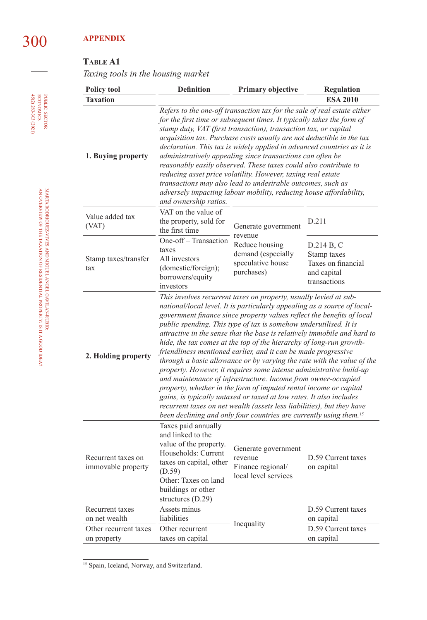## **Table A1**

*Taxing tools in the housing market*

| <b>Policy tool</b>                       | <b>Definition</b>                                                                                                                                                                                                                                                                                                                                                                                                                                                                                                                                                                                                                                                                                                                                                                                                                                                                                                                                                                                                                           | <b>Regulation</b>                                                           |                                                                                |  |  |  |  |
|------------------------------------------|---------------------------------------------------------------------------------------------------------------------------------------------------------------------------------------------------------------------------------------------------------------------------------------------------------------------------------------------------------------------------------------------------------------------------------------------------------------------------------------------------------------------------------------------------------------------------------------------------------------------------------------------------------------------------------------------------------------------------------------------------------------------------------------------------------------------------------------------------------------------------------------------------------------------------------------------------------------------------------------------------------------------------------------------|-----------------------------------------------------------------------------|--------------------------------------------------------------------------------|--|--|--|--|
| <b>Taxation</b>                          | <b>ESA 2010</b>                                                                                                                                                                                                                                                                                                                                                                                                                                                                                                                                                                                                                                                                                                                                                                                                                                                                                                                                                                                                                             |                                                                             |                                                                                |  |  |  |  |
| 1. Buying property                       | Refers to the one-off transaction tax for the sale of real estate either<br>for the first time or subsequent times. It typically takes the form of<br>stamp duty, VAT (first transaction), transaction tax, or capital<br>acquisition tax. Purchase costs usually are not deductible in the tax<br>declaration. This tax is widely applied in advanced countries as it is<br>administratively appealing since transactions can often be<br>reasonably easily observed. These taxes could also contribute to<br>reducing asset price volatility. However, taxing real estate<br>transactions may also lead to undesirable outcomes, such as<br>adversely impacting labour mobility, reducing house affordability,<br>and ownership ratios.                                                                                                                                                                                                                                                                                                   |                                                                             |                                                                                |  |  |  |  |
| Value added tax<br>(VAT)                 | VAT on the value of<br>the property, sold for<br>the first time                                                                                                                                                                                                                                                                                                                                                                                                                                                                                                                                                                                                                                                                                                                                                                                                                                                                                                                                                                             | Generate government<br>revenue                                              | D.211                                                                          |  |  |  |  |
| Stamp taxes/transfer<br>tax              | One-off - Transaction<br>taxes<br>All investors<br>(domestic/foreign);<br>borrowers/equity<br>investors                                                                                                                                                                                                                                                                                                                                                                                                                                                                                                                                                                                                                                                                                                                                                                                                                                                                                                                                     | Reduce housing<br>demand (especially<br>speculative house<br>purchases)     | D.214 B, C<br>Stamp taxes<br>Taxes on financial<br>and capital<br>transactions |  |  |  |  |
| 2. Holding property                      | This involves recurrent taxes on property, usually levied at sub-<br>national/local level. It is particularly appealing as a source of local-<br>government finance since property values reflect the benefits of local<br>public spending. This type of tax is somehow underutilised. It is<br>attractive in the sense that the base is relatively immobile and hard to<br>hide, the tax comes at the top of the hierarchy of long-run growth-<br>friendliness mentioned earlier, and it can be made progressive<br>through a basic allowance or by varying the rate with the value of the<br>property. However, it requires some intense administrative build-up<br>and maintenance of infrastructure. Income from owner-occupied<br>property, whether in the form of imputed rental income or capital<br>gains, is typically untaxed or taxed at low rates. It also includes<br>recurrent taxes on net wealth (assets less liabilities), but they have<br>been declining and only four countries are currently using them. <sup>15</sup> |                                                                             |                                                                                |  |  |  |  |
| Recurrent taxes on<br>immovable property | Taxes paid annually<br>and linked to the<br>value of the property.<br>Households: Current<br>taxes on capital, other<br>(D.59)<br>Other: Taxes on land<br>buildings or other<br>structures $(D.29)$                                                                                                                                                                                                                                                                                                                                                                                                                                                                                                                                                                                                                                                                                                                                                                                                                                         | Generate government<br>revenue<br>Finance regional/<br>local level services | D.59 Current taxes<br>on capital                                               |  |  |  |  |
| Recurrent taxes<br>on net wealth         | Assets minus<br>liabilities                                                                                                                                                                                                                                                                                                                                                                                                                                                                                                                                                                                                                                                                                                                                                                                                                                                                                                                                                                                                                 | Inequality                                                                  | D.59 Current taxes<br>on capital                                               |  |  |  |  |
| Other recurrent taxes<br>on property     | Other recurrent<br>taxes on capital                                                                                                                                                                                                                                                                                                                                                                                                                                                                                                                                                                                                                                                                                                                                                                                                                                                                                                                                                                                                         |                                                                             | D.59 Current taxes<br>on capital                                               |  |  |  |  |

<sup>15</sup> Spain, Iceland, Norway, and Switzerland.

45(2) 283-303 (2021) economics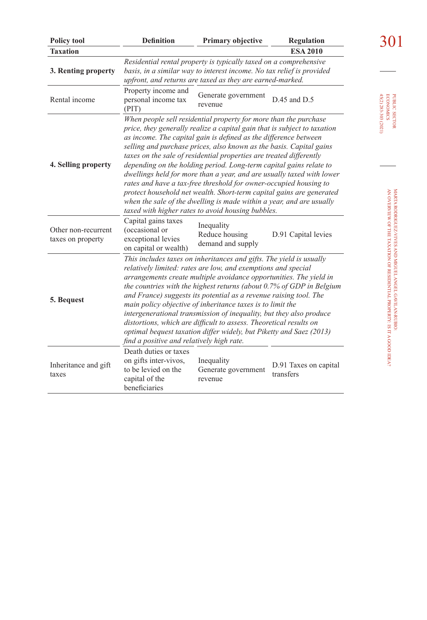| <b>Policy tool</b>                       | <b>Definition</b>                                                                                                                                                                                                                                                                                                                                                                                                                                                                                                                                                                                                                                                                                                                  | Primary objective                                                                                                               | <b>Regulation</b>                  |                                                           |
|------------------------------------------|------------------------------------------------------------------------------------------------------------------------------------------------------------------------------------------------------------------------------------------------------------------------------------------------------------------------------------------------------------------------------------------------------------------------------------------------------------------------------------------------------------------------------------------------------------------------------------------------------------------------------------------------------------------------------------------------------------------------------------|---------------------------------------------------------------------------------------------------------------------------------|------------------------------------|-----------------------------------------------------------|
| <b>Taxation</b>                          |                                                                                                                                                                                                                                                                                                                                                                                                                                                                                                                                                                                                                                                                                                                                    |                                                                                                                                 | <b>ESA 2010</b>                    |                                                           |
| 3. Renting property                      | Residential rental property is typically taxed on a comprehensive<br>basis, in a similar way to interest income. No tax relief is provided<br>upfront, and returns are taxed as they are earned-marked.                                                                                                                                                                                                                                                                                                                                                                                                                                                                                                                            |                                                                                                                                 |                                    |                                                           |
| Rental income                            | Property income and<br>personal income tax<br>(PIT)                                                                                                                                                                                                                                                                                                                                                                                                                                                                                                                                                                                                                                                                                | Generate government<br>revenue                                                                                                  | $D.45$ and $D.5$                   | 45(2) 283-303 (2021)<br><b>ECONOMICS</b><br>PUBLIC SECTOR |
| 4. Selling property                      | When people sell residential property for more than the purchase<br>price, they generally realize a capital gain that is subject to taxation<br>as income. The capital gain is defined as the difference between<br>selling and purchase prices, also known as the basis. Capital gains<br>taxes on the sale of residential properties are treated differently<br>depending on the holding period. Long-term capital gains relate to<br>dwellings held for more than a year, and are usually taxed with lower<br>rates and have a tax-free threshold for owner-occupied housing to<br>protect household net wealth. Short-term capital gains are generated<br>when the sale of the dwelling is made within a year, and are usually |                                                                                                                                 |                                    |                                                           |
| Other non-recurrent<br>taxes on property | Capital gains taxes<br>(occasional or<br>exceptional levies<br>on capital or wealth)                                                                                                                                                                                                                                                                                                                                                                                                                                                                                                                                                                                                                                               | taxed with higher rates to avoid housing bubbles.<br>Inequality<br>Reduce housing<br>demand and supply                          | D.91 Capital levies                |                                                           |
| 5. Bequest                               | This includes taxes on inheritances and gifts. The yield is usually<br>relatively limited: rates are low, and exemptions and special<br>arrangements create multiple avoidance opportunities. The yield in<br>the countries with the highest returns (about 0.7% of GDP in Belgium<br>and France) suggests its potential as a revenue raising tool. The<br>main policy objective of inheritance taxes is to limit the<br>intergenerational transmission of inequality, but they also produce<br>distortions, which are difficult to assess. Theoretical results on<br>optimal bequest taxation differ widely, but Piketty and Saez (2013)<br>find a positive and relatively high rate.                                             | AN OVERVIEW OF THE TAXATION OF RESIDENTIAL PROPERTY: IS IT A GOOD IDEA?<br>MARTA RODRIGUEZ-VIVES AND MIGUEL ANGEL GAVILAN-RUBIO |                                    |                                                           |
| Inheritance and gift<br>taxes            | Death duties or taxes<br>on gifts inter-vivos,<br>to be levied on the<br>capital of the<br>beneficiaries                                                                                                                                                                                                                                                                                                                                                                                                                                                                                                                                                                                                                           | Inequality<br>Generate government<br>revenue                                                                                    | D.91 Taxes on capital<br>transfers |                                                           |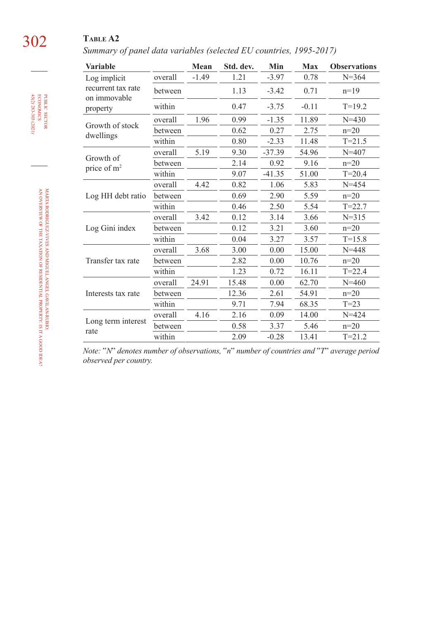# 302 **Table A2**

*Summary of panel data variables (selected EU countries, 1995-2017)*

| Variable                           |         | Mean    | Std. dev. | Min      | Max     | <b>Observations</b> |
|------------------------------------|---------|---------|-----------|----------|---------|---------------------|
| Log implicit                       | overall | $-1.49$ | 1.21      | $-3.97$  | 0.78    | $N = 364$           |
| recurrent tax rate<br>on immovable | between |         | 1.13      | $-3.42$  | 0.71    | $n=19$              |
| property                           | within  |         | 0.47      | $-3.75$  | $-0.11$ | $T=19.2$            |
|                                    | overall | 1.96    | 0.99      | $-1.35$  | 11.89   | $N = 430$           |
| Growth of stock<br>dwellings       | between |         | 0.62      | 0.27     | 2.75    | $n=20$              |
|                                    | within  |         | 0.80      | $-2.33$  | 11.48   | $T = 21.5$          |
|                                    | overall | 5.19    | 9.30      | $-37.39$ | 54.96   | $N = 407$           |
| Growth of<br>price of $m2$         | between |         | 2.14      | 0.92     | 9.16    | $n=20$              |
|                                    | within  |         | 9.07      | $-41.35$ | 51.00   | $T = 20.4$          |
|                                    | overall | 4.42    | 0.82      | 1.06     | 5.83    | $N = 454$           |
| Log HH debt ratio                  | between |         | 0.69      | 2.90     | 5.59    | $n=20$              |
|                                    | within  |         | 0.46      | 2.50     | 5.54    | $T = 22.7$          |
|                                    | overall | 3.42    | 0.12      | 3.14     | 3.66    | $N = 315$           |
| Log Gini index                     | between |         | 0.12      | 3.21     | 3.60    | $n=20$              |
|                                    | within  |         | 0.04      | 3.27     | 3.57    | $T = 15.8$          |
|                                    | overall | 3.68    | 3.00      | 0.00     | 15.00   | $N = 448$           |
| Transfer tax rate                  | between |         | 2.82      | 0.00     | 10.76   | $n=20$              |
|                                    | within  |         | 1.23      | 0.72     | 16.11   | $T = 22.4$          |
| Interests tax rate                 | overall | 24.91   | 15.48     | 0.00     | 62.70   | $N = 460$           |
|                                    | between |         | 12.36     | 2.61     | 54.91   | $n=20$              |
|                                    | within  |         | 9.71      | 7.94     | 68.35   | $T=23$              |
|                                    | overall | 4.16    | 2.16      | 0.09     | 14.00   | $N = 424$           |
| Long term interest                 | between |         | 0.58      | 3.37     | 5.46    | $n=20$              |
| rate                               | within  |         | 2.09      | $-0.28$  | 13.41   | $T = 21.2$          |

*Note:* "*N*" *denotes number of observations,* "*n*" *number of countries and* "*T*" *average period observed per country.*

45(2) 283-303 (2021) economics